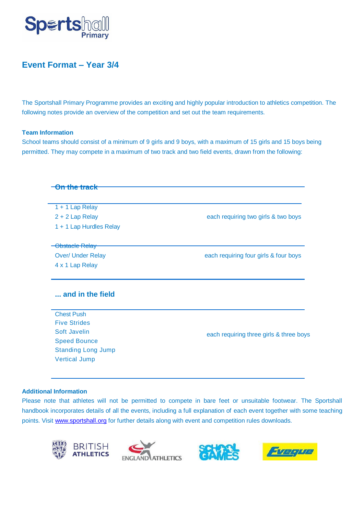

## **Event Format – Year 3/4**

The Sportshall Primary Programme provides an exciting and highly popular introduction to athletics competition. The following notes provide an overview of the competition and set out the team requirements.

## **Team Information**

School teams should consist of a minimum of 9 girls and 9 boys, with a maximum of 15 girls and 15 boys being permitted. They may compete in a maximum of two track and two field events, drawn from the following:

| <del>On the track</del>   |                                         |
|---------------------------|-----------------------------------------|
| $1 + 1$ Lap Relay         |                                         |
| 2 + 2 Lap Relay           | each requiring two girls & two boys     |
| 1 + 1 Lap Hurdles Relay   |                                         |
| Obstacle Relay            |                                         |
| <b>Over/ Under Relay</b>  | each requiring four girls & four boys   |
| 4 x 1 Lap Relay           |                                         |
| and in the field          |                                         |
| <b>Chest Push</b>         |                                         |
| <b>Five Strides</b>       |                                         |
| Soft Javelin              | each requiring three girls & three boys |
| <b>Speed Bounce</b>       |                                         |
| <b>Standing Long Jump</b> |                                         |
| <b>Vertical Jump</b>      |                                         |
|                           |                                         |

## **Additional Information**

Please note that athletes will not be permitted to compete in bare feet or unsuitable footwear. The Sportshall handbook incorporates details of all the events, including a full explanation of each event together with some teaching points. Visit [www.sportshall.org](http://www.sportshall.org/) for further details along with event and competition rules downloads.







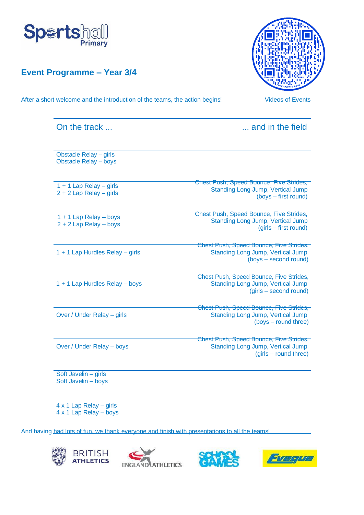



After a short welcome and the introduction of the teams, the action begins! Videos of Events



| and in the field                                                                                               |  |  |  |  |  |  |
|----------------------------------------------------------------------------------------------------------------|--|--|--|--|--|--|
|                                                                                                                |  |  |  |  |  |  |
| Chest Push, Speed Bounce, Five Strides,<br><b>Standing Long Jump, Vertical Jump</b><br>(boys – first round)    |  |  |  |  |  |  |
| Chest Push, Speed Bounce, Five Strides,<br>Standing Long Jump, Vertical Jump<br>(girls – first round)          |  |  |  |  |  |  |
| Chest Push, Speed Bounce, Five Strides,<br><b>Standing Long Jump, Vertical Jump</b><br>(boys – second round)   |  |  |  |  |  |  |
| Chest Push, Speed Bounce, Five Strides,<br><b>Standing Long Jump, Vertical Jump</b><br>(girls – second round)  |  |  |  |  |  |  |
| Chest Push, Speed Bounce, Five Strides,<br><b>Standing Long Jump, Vertical Jump</b><br>(boys – round three)    |  |  |  |  |  |  |
| Chest Push, Speed Bounce, Five Strides,<br><b>Standing Long Jump, Vertical Jump</b><br>$(girls - round three)$ |  |  |  |  |  |  |
|                                                                                                                |  |  |  |  |  |  |

4 x 1 Lap Relay – girls 4 x 1 Lap Relay – boys

And having had lots of fun, we thank everyone and finish with presentations to all the teams!







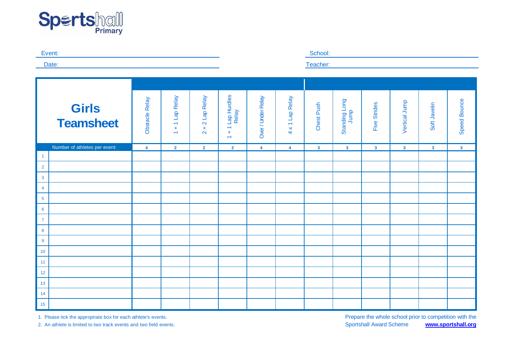



1. Please tick the appropriate box for each athlete's events. Prepare the whole school prior to competition with the 2. An athlete is limited to two track events and two field events. Sportshall Award Scheme **[www.sportshall.org](http://www.sportshall.org/)**